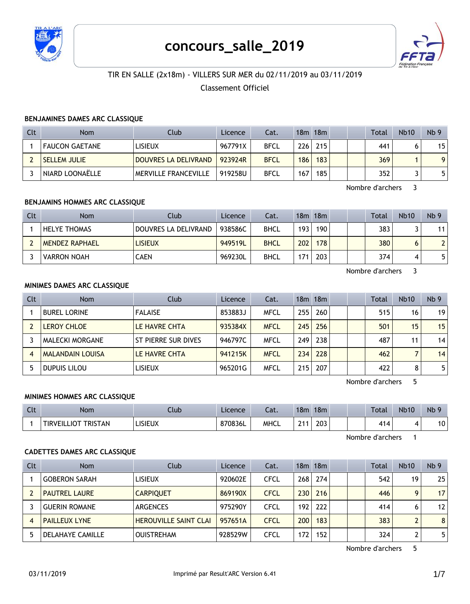

# **concours\_salle\_2019**



# TIR EN SALLE (2x18m) - VILLERS SUR MER du 02/11/2019 au 03/11/2019

## Classement Officiel

#### **BENJAMINES DAMES ARC CLASSIQUE**

| Clt | <b>Nom</b>          | Club                 | Licence | Cat.        |     | 18m 18m |  | Total | <b>Nb10</b> | Nb <sub>9</sub> |
|-----|---------------------|----------------------|---------|-------------|-----|---------|--|-------|-------------|-----------------|
|     | FAUCON GAETANE      | <b>LISIEUX</b>       | 967791X | <b>BFCL</b> | 226 | 215     |  | 441   |             | 15              |
|     | <b>SELLEM JULIE</b> | DOUVRES LA DELIVRAND | 923924R | <b>BFCL</b> | 186 | 183     |  | 369   |             | $\Omega$        |
|     | ' NIARD LOONAËLLE   | MERVILLE FRANCEVILLE | 919258U | <b>BFCL</b> | 167 | 185     |  | 352   |             |                 |

Nombre d'archers 3

## **BENJAMINS HOMMES ARC CLASSIQUE**

| Clt | <b>Nom</b>            | Club                 | Licence | Cat.        |                  | 18m 18m |  | Total | <b>Nb10</b> | Nb <sub>9</sub> |
|-----|-----------------------|----------------------|---------|-------------|------------------|---------|--|-------|-------------|-----------------|
|     | <b>HELYE THOMAS</b>   | DOUVRES LA DELIVRAND | 938586C | <b>BHCL</b> | 193 <sub>1</sub> | 190     |  | 383   |             | 11              |
|     | <b>MENDEZ RAPHAEL</b> | <b>LISIEUX</b>       | 949519L | <b>BHCL</b> | 202 <sub>1</sub> | 178     |  | 380   |             | $\mathbf{2}$    |
|     | <b>VARRON NOAH</b>    | CAEN                 | 969230L | <b>BHCL</b> | 171              | 203     |  | 374   |             | 5.              |

Nombre d'archers 3

#### **MINIMES DAMES ARC CLASSIQUE**

| <b>Clt</b> | <b>Nom</b>              | Club                | Licence | Cat.        |     | $18m$ 18 $m$ |  | Total | <b>Nb10</b> | Nb <sub>9</sub> |
|------------|-------------------------|---------------------|---------|-------------|-----|--------------|--|-------|-------------|-----------------|
|            | <b>BUREL LORINE</b>     | <b>FALAISE</b>      | 853883J | <b>MFCL</b> | 255 | 260          |  | 515   | 16          | 19              |
|            | LEROY CHLOE             | LE HAVRE CHTA       | 935384X | <b>MFCL</b> | 245 | 256          |  | 501   | 15          | 15              |
|            | MALECKI MORGANE         | ST PIERRE SUR DIVES | 946797C | <b>MFCL</b> | 249 | 238          |  | 487   | 11          | 14              |
|            | <b>MALANDAIN LOUISA</b> | LE HAVRE CHTA       | 941215K | <b>MFCL</b> | 234 | 228          |  | 462   |             | 14              |
|            | DUPUIS LILOU            | LISIEUX             | 965201G | <b>MFCL</b> | 215 | 207          |  | 422   | 8           | 5.              |

Nombre d'archers 5

## **MINIMES HOMMES ARC CLASSIQUE**

| Clt | <b>Nom</b>                 | Llub.          | Licence | Cat.        | 18 <sub>m</sub> | 18m |  | Total | <b>Nb10</b> | Nb <sub>5</sub>             |
|-----|----------------------------|----------------|---------|-------------|-----------------|-----|--|-------|-------------|-----------------------------|
|     | <b>TIRVEILLIOT TRISTAN</b> | <b>LISIEUX</b> | 870836L | <b>MHCL</b> | 21.             | 203 |  | 414   |             | $\ddot{\phantom{1}}$<br>. U |

Nombre d'archers 1

#### **CADETTES DAMES ARC CLASSIQUE**

| <b>Clt</b> | <b>Nom</b>              | Club                         | Licence | Cat.        |     | $18m$ 18 $m$ |  | Total | <b>Nb10</b> | Nb <sub>9</sub> |
|------------|-------------------------|------------------------------|---------|-------------|-----|--------------|--|-------|-------------|-----------------|
|            | <b>GOBERON SARAH</b>    | <b>LISIEUX</b>               | 920602E | <b>CFCL</b> | 268 | 274          |  | 542   | 19          | 25              |
|            | <b>PAUTREL LAURE</b>    | <b>CARPIOUET</b>             | 869190X | <b>CFCL</b> | 230 | 216          |  | 446   | q           | 17              |
|            | <b>GUERIN ROMANE</b>    | ARGENCES                     | 975290Y | CFCL        | 192 | 222          |  | 414   | 6           | 12              |
|            | <b>PAILLEUX LYNE</b>    | <b>HEROUVILLE SAINT CLAI</b> | 957651A | <b>CFCL</b> | 200 | 183          |  | 383   |             | 8 <sup>1</sup>  |
|            | <b>DELAHAYE CAMILLE</b> | <b>OUISTREHAM</b>            | 928529W | <b>CFCL</b> | 172 | 152          |  | 324   |             | 5               |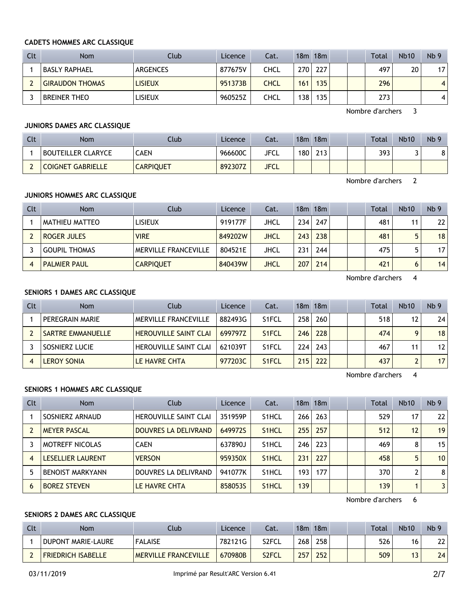#### **CADETS HOMMES ARC CLASSIQUE**

| Clt | <b>Nom</b>             | Club           | Licence | Cat.        |     | $18m$ 18 $m$ |  | Total | <b>Nb10</b> | Nb <sub>9</sub> |
|-----|------------------------|----------------|---------|-------------|-----|--------------|--|-------|-------------|-----------------|
|     | BASLY RAPHAEL          | ARGENCES       | 877675V | CHCL        | 270 | 227          |  | 497   | 20          | 17              |
|     | <b>GIRAUDON THOMAS</b> | <b>LISIEUX</b> | 951373B | <b>CHCL</b> | 161 | 135          |  | 296   |             | $\overline{4}$  |
|     | <b>BREINER THEO</b>    | <b>LISIEUX</b> | 960525Z | CHCL        | 138 | 135          |  | 273   |             | 4               |

Nombre d'archers 3

## **JUNIORS DAMES ARC CLASSIQUE**

| Clt | <b>Nom</b>                | Club             | Licence | Cat.        | 18m              | 18m |  | <b>Total</b> | <b>Nb10</b> | Nb <sub>9</sub> |
|-----|---------------------------|------------------|---------|-------------|------------------|-----|--|--------------|-------------|-----------------|
|     | <b>BOUTEILLER CLARYCE</b> | <b>CAEN</b>      | 966600C | JFCL        | 180 <sub>1</sub> | 213 |  | 393          |             | 81              |
|     | <b>COIGNET GABRIELLE</b>  | <b>CARPIQUET</b> | 892307Z | <b>JFCL</b> |                  |     |  |              |             |                 |

Nombre d'archers 2

## **JUNIORS HOMMES ARC CLASSIQUE**

| Clt | <b>Nom</b>           | Club                        | Licence | Cat.        |      | $18m$ 18 $m$ |  | <b>Total</b> | <b>Nb10</b> | Nb <sub>9</sub> |
|-----|----------------------|-----------------------------|---------|-------------|------|--------------|--|--------------|-------------|-----------------|
|     | MATHIEU MATTEO       | <b>LISIEUX</b>              | 919177F | JHCL        | 234  | 247          |  | 481          | 11          | 22              |
|     | ROGER JULES          | <b>VIRE</b>                 | 849202W | <b>JHCL</b> | 2431 | 238          |  | 481          | 5           | 18              |
|     | <b>GOUPIL THOMAS</b> | <b>MERVILLE FRANCEVILLE</b> | 804521E | JHCL        | 231  | 244          |  | 475          |             | 17 <sup>1</sup> |
|     | <b>PALMIER PAUL</b>  | <b>CARPIQUET</b>            | 840439W | <b>JHCL</b> | 207  | 214          |  | 421          | 6           | 14              |

Nombre d'archers 4

## **SENIORS 1 DAMES ARC CLASSIQUE**

| Clt | <b>Nom</b>               | Club                         | Licence | Cat.               |                  | 18m 18m |  | Total | <b>Nb10</b> | Nb <sub>9</sub> |
|-----|--------------------------|------------------------------|---------|--------------------|------------------|---------|--|-------|-------------|-----------------|
|     | PEREGRAIN MARIE          | <b>MERVILLE FRANCEVILLE</b>  | 882493G | S <sub>1</sub> FCL | 258 <sub>1</sub> | 260     |  | 518   | 12          | 24              |
|     | <b>SARTRE EMMANUELLE</b> | <b>HEROUVILLE SAINT CLAI</b> | 6997977 | S <sub>1</sub> FCL | 246 <sub>1</sub> | 228     |  | 474   | Q           | 18              |
|     | SOSNIERZ LUCIE           | <b>HEROUVILLE SAINT CLAI</b> | 621039T | S <sub>1</sub> FCL | 224              | 243     |  | 467   |             | 12              |
|     | <b>LEROY SONIA</b>       | LE HAVRE CHTA                | 977203C | S <sub>1</sub> FCL | 215 <sub>1</sub> | 222     |  | 437   |             | 17              |

Nombre d'archers 4

## **SENIORS 1 HOMMES ARC CLASSIQUE**

| Clt | <b>Nom</b>              | Club                         | Licence | Cat.               |     | 18m 18m |  | Total | <b>Nb10</b> | Nb <sub>9</sub> |
|-----|-------------------------|------------------------------|---------|--------------------|-----|---------|--|-------|-------------|-----------------|
|     | SOSNIERZ ARNAUD         | <b>HEROUVILLE SAINT CLAI</b> | 351959P | S <sub>1</sub> HCL | 266 | 263     |  | 529   | 17          | 22              |
|     | <b>MEYER PASCAL</b>     | DOUVRES LA DELIVRAND         | 649972S | S <sub>1</sub> HCL | 255 | 257     |  | 512   | 12          | 19              |
|     | <b>MOTREFF NICOLAS</b>  | <b>CAEN</b>                  | 637890J | S <sub>1</sub> HCL | 246 | 223     |  | 469   | 8           | 15              |
| 4   | LESELLIER LAURENT       | <b>VERSON</b>                | 959350X | S <sub>1</sub> HCL | 231 | 227     |  | 458   | 5           | 10 <sup>°</sup> |
|     | <b>BENOIST MARKYANN</b> | DOUVRES LA DELIVRAND         | 941077K | S <sub>1</sub> HCL | 193 | 177     |  | 370   |             | 8               |
| 6   | <b>BOREZ STEVEN</b>     | LE HAVRE CHTA                | 8580535 | S <sub>1</sub> HCL | 139 |         |  | 139   |             | 3               |

Nombre d'archers 6

## **SENIORS 2 DAMES ARC CLASSIQUE**

| Clt | Nom                       | Club                        | Licence | Cat.               | 18 <sub>m</sub> | 18m              |  | <b>Total</b> | <b>Nb10</b> | Nb <sub>9</sub> |
|-----|---------------------------|-----------------------------|---------|--------------------|-----------------|------------------|--|--------------|-------------|-----------------|
|     | DUPONT MARIE-LAURE        | <b>FALAISE</b>              | 782121G | S2FCL              | 268             | 258 <sub>1</sub> |  | 526          | 16          | 22              |
|     | <b>FRIEDRICH ISABELLE</b> | <b>MERVILLE FRANCEVILLE</b> | 670980B | S <sub>2</sub> FCL | 257             | 252              |  | 509          |             | 24              |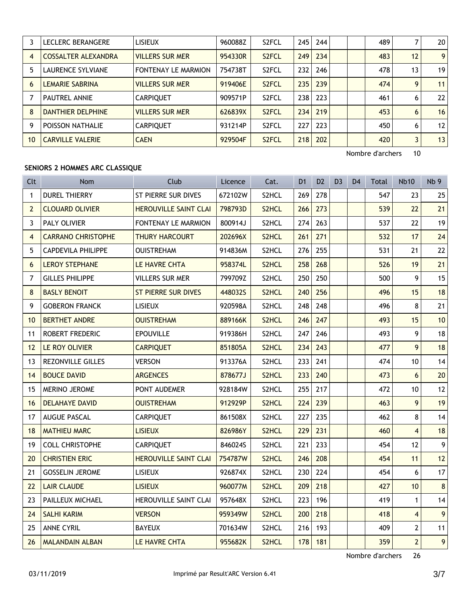|    | LECLERC BERANGERE          | <b>LISIEUX</b>             | 960088Z | S <sub>2</sub> FCL | 245 | 244 |  | 489 |    | 20 <sup>1</sup> |
|----|----------------------------|----------------------------|---------|--------------------|-----|-----|--|-----|----|-----------------|
| 4  | <b>COSSALTER ALEXANDRA</b> | <b>VILLERS SUR MER</b>     | 954330R | S <sub>2</sub> FCL | 249 | 234 |  | 483 | 12 | 9 <sup>1</sup>  |
|    | <b>LAURENCE SYLVIANE</b>   | <b>FONTENAY LE MARMION</b> | 754738T | S <sub>2</sub> FCL | 232 | 246 |  | 478 | 13 | 19 <sup>1</sup> |
| 6  | <b>LEMARIE SABRINA</b>     | <b>VILLERS SUR MER</b>     | 919406E | S <sub>2</sub> FCL | 235 | 239 |  | 474 | 9  | 11              |
|    | <b>PAUTREL ANNIE</b>       | <b>CARPIQUET</b>           | 909571P | S <sub>2</sub> FCL | 238 | 223 |  | 461 | 6  | 22              |
| 8  | DANTHIER DELPHINE          | <b>VILLERS SUR MER</b>     | 626839X | S <sub>2</sub> FCL | 234 | 219 |  | 453 | 6  | 16              |
| 9  | POISSON NATHALIE           | <b>CARPIQUET</b>           | 931214P | S <sub>2</sub> FCL | 227 | 223 |  | 450 | 6  | 12              |
| 10 | <b>CARVILLE VALERIE</b>    | <b>CAEN</b>                | 929504F | S <sub>2</sub> FCL | 218 | 202 |  | 420 | 3  | 13              |

Nombre d'archers 10

## **SENIORS 2 HOMMES ARC CLASSIQUE**

| Clt            | Nom                       | Club                         | Licence | Cat.               | D <sub>1</sub> | D <sub>2</sub> | D <sub>3</sub> | D <sub>4</sub> | <b>Total</b> | <b>Nb10</b>    | Nb <sub>9</sub> |
|----------------|---------------------------|------------------------------|---------|--------------------|----------------|----------------|----------------|----------------|--------------|----------------|-----------------|
| $\mathbf{1}$   | <b>DUREL THIERRY</b>      | ST PIERRE SUR DIVES          | 672102W | S2HCL              | 269            | 278            |                |                | 547          | 23             | 25              |
| $\overline{2}$ | <b>CLOUARD OLIVIER</b>    | <b>HEROUVILLE SAINT CLAI</b> | 798793D | S2HCL              | 266            | 273            |                |                | 539          | 22             | 21              |
| 3              | PALY OLIVIER              | <b>FONTENAY LE MARMION</b>   | 800914J | S2HCL              | 274            | 263            |                |                | 537          | 22             | 19              |
| $\overline{4}$ | <b>CARRANO CHRISTOPHE</b> | <b>THURY HARCOURT</b>        | 202696X | S2HCL              | 261            | 271            |                |                | 532          | 17             | 24              |
| 5              | <b>CAPDEVILA PHILIPPE</b> | <b>OUISTREHAM</b>            | 914836M | S2HCL              | 276            | 255            |                |                | 531          | 21             | 22              |
| 6              | <b>LEROY STEPHANE</b>     | LE HAVRE CHTA                | 958374L | S2HCL              | 258            | 268            |                |                | 526          | 19             | 21              |
| $\overline{7}$ | <b>GILLES PHILIPPE</b>    | <b>VILLERS SUR MER</b>       | 799709Z | S2HCL              | 250            | 250            |                |                | 500          | 9              | 15              |
| 8              | <b>BASLY BENOIT</b>       | <b>ST PIERRE SUR DIVES</b>   | 448032S | S2HCL              | 240            | 256            |                |                | 496          | 15             | 18              |
| 9              | <b>GOBERON FRANCK</b>     | <b>LISIEUX</b>               | 920598A | S2HCL              | 248            | 248            |                |                | 496          | 8              | 21              |
| 10             | <b>BERTHET ANDRE</b>      | <b>OUISTREHAM</b>            | 889166K | S2HCL              | 246            | 247            |                |                | 493          | 15             | 10              |
| 11             | <b>ROBERT FREDERIC</b>    | <b>EPOUVILLE</b>             | 919386H | S2HCL              | 247            | 246            |                |                | 493          | 9              | 18              |
| 12             | LE ROY OLIVIER            | <b>CARPIQUET</b>             | 851805A | S2HCL              | 234            | 243            |                |                | 477          | 9              | 18              |
| 13             | <b>REZONVILLE GILLES</b>  | <b>VERSON</b>                | 913376A | S2HCL              | 233            | 241            |                |                | 474          | 10             | 14              |
| 14             | <b>BOUCE DAVID</b>        | <b>ARGENCES</b>              | 878677J | S2HCL              | 233            | 240            |                |                | 473          | 6              | 20              |
| 15             | MERINO JEROME             | PONT AUDEMER                 | 928184W | S2HCL              | 255            | 217            |                |                | 472          | 10             | 12              |
| 16             | <b>DELAHAYE DAVID</b>     | <b>OUISTREHAM</b>            | 912929P | S2HCL              | 224            | 239            |                |                | 463          | 9              | 19              |
| 17             | <b>AUGUE PASCAL</b>       | <b>CARPIQUET</b>             | 861508X | S2HCL              | 227            | 235            |                |                | 462          | 8              | 14              |
| 18             | <b>MATHIEU MARC</b>       | <b>LISIEUX</b>               | 826986Y | S <sub>2</sub> HCL | 229            | 231            |                |                | 460          | $\overline{4}$ | 18              |
| 19             | <b>COLL CHRISTOPHE</b>    | <b>CARPIQUET</b>             | 846024S | S2HCL              | 221            | 233            |                |                | 454          | 12             | 9 <sup>1</sup>  |
| 20             | <b>CHRISTIEN ERIC</b>     | HEROUVILLE SAINT CLAI        | 754787W | S2HCL              | 246            | 208            |                |                | 454          | 11             | 12              |
| 21             | <b>GOSSELIN JEROME</b>    | <b>LISIEUX</b>               | 926874X | S2HCL              | 230            | 224            |                |                | 454          | 6              | 17              |
| 22             | <b>LAIR CLAUDE</b>        | <b>LISIEUX</b>               | 960077M | S <sub>2</sub> HCL | 209            | 218            |                |                | 427          | 10             | 8 <sup>1</sup>  |
| 23             | PAILLEUX MICHAEL          | HEROUVILLE SAINT CLAI        | 957648X | S2HCL              | 223            | 196            |                |                | 419          | $\mathbf{1}$   | 14              |
| 24             | <b>SALHI KARIM</b>        | <b>VERSON</b>                | 959349W | S2HCL              | 200            | 218            |                |                | 418          | $\overline{4}$ | 9 <sup>1</sup>  |
| 25             | <b>ANNE CYRIL</b>         | <b>BAYEUX</b>                | 701634W | S2HCL              | 216            | 193            |                |                | 409          | $\overline{2}$ | 11              |
| 26             | <b>MALANDAIN ALBAN</b>    | LE HAVRE CHTA                | 955682K | S2HCL              | 178            | 181            |                |                | 359          | $\overline{2}$ | 9 <sup>1</sup>  |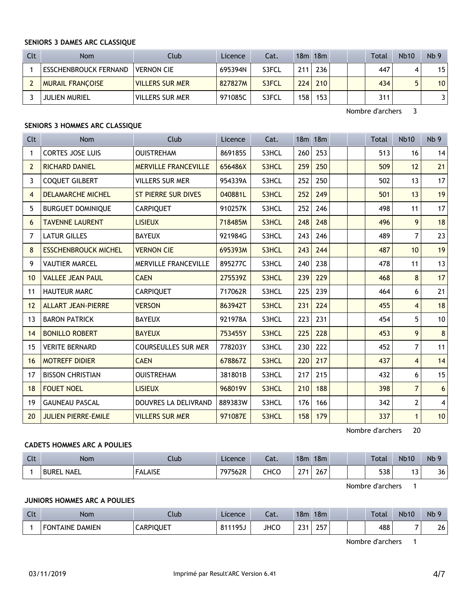### **SENIORS 3 DAMES ARC CLASSIQUE**

| Clt | <b>Nom</b>                   | Club              | Licence | Cat.  |     | 18m 18m |  | Total | <b>Nb10</b> | Nb <sub>9</sub> |
|-----|------------------------------|-------------------|---------|-------|-----|---------|--|-------|-------------|-----------------|
|     | <b>ESSCHENBROUCK FERNAND</b> | <b>VERNON CIE</b> | 695394N | S3FCL | 211 | 236     |  | 447   |             | 15 <sup>1</sup> |
|     | <b>MURAIL FRANCOISE</b>      | WILLERS SUR MER   | 827827M | S3FCL | 224 | 210     |  | 434   |             | 10 <sup>1</sup> |
|     | <b>JULIEN MURIEL</b>         | VILLERS SUR MER   | 971085C | S3FCL | 158 | 153     |  | 311   |             | 31              |

Nombre d'archers 3

## **SENIORS 3 HOMMES ARC CLASSIQUE**

| Clt            | <b>Nom</b>                  | Club                        | Licence | Cat.  |     | 18 <sub>m</sub> 18 <sub>m</sub> |  | <b>Total</b> | <b>Nb10</b>     | Nb <sub>9</sub> |
|----------------|-----------------------------|-----------------------------|---------|-------|-----|---------------------------------|--|--------------|-----------------|-----------------|
| 1              | <b>CORTES JOSE LUIS</b>     | <b>OUISTREHAM</b>           | 869185S | S3HCL | 260 | 253                             |  | 513          | 16              | 14              |
| $\overline{2}$ | <b>RICHARD DANIEL</b>       | <b>MERVILLE FRANCEVILLE</b> | 656486X | S3HCL | 259 | 250                             |  | 509          | 12              | 21              |
| 3              | <b>COQUET GILBERT</b>       | <b>VILLERS SUR MER</b>      | 954339A | S3HCL | 252 | 250                             |  | 502          | 13              | 17              |
| $\overline{4}$ | <b>DELAMARCHE MICHEL</b>    | <b>ST PIERRE SUR DIVES</b>  | 040881L | S3HCL | 252 | 249                             |  | 501          | 13              | 19              |
| 5              | <b>BURGUET DOMINIQUE</b>    | <b>CARPIQUET</b>            | 910257K | S3HCL | 252 | 246                             |  | 498          | 11              | 17              |
| 6              | <b>TAVENNE LAURENT</b>      | <b>LISIEUX</b>              | 718485M | S3HCL | 248 | 248                             |  | 496          | 9               | 18              |
| 7              | <b>LATUR GILLES</b>         | <b>BAYEUX</b>               | 921984G | S3HCL | 243 | 246                             |  | 489          | 7               | 23              |
| 8              | <b>ESSCHENBROUCK MICHEL</b> | <b>VERNON CIE</b>           | 695393M | S3HCL | 243 | 244                             |  | 487          | 10 <sup>1</sup> | 19              |
| 9              | <b>VAUTIER MARCEL</b>       | <b>MERVILLE FRANCEVILLE</b> | 895277C | S3HCL | 240 | 238                             |  | 478          | 11              | 13              |
| 10             | <b>VALLEE JEAN PAUL</b>     | <b>CAEN</b>                 | 275539Z | S3HCL | 239 | 229                             |  | 468          | 8               | 17              |
| 11             | <b>HAUTEUR MARC</b>         | <b>CARPIQUET</b>            | 717062R | S3HCL | 225 | 239                             |  | 464          | 6               | 21              |
| 12             | <b>ALLART JEAN-PIERRE</b>   | <b>VERSON</b>               | 863942T | S3HCL | 231 | 224                             |  | 455          | $\overline{4}$  | 18              |
| 13             | <b>BARON PATRICK</b>        | <b>BAYEUX</b>               | 921978A | S3HCL | 223 | 231                             |  | 454          | 5               | 10              |
| 14             | <b>BONILLO ROBERT</b>       | <b>BAYEUX</b>               | 753455Y | S3HCL | 225 | 228                             |  | 453          | 9               | 8               |
| 15             | <b>VERITE BERNARD</b>       | <b>COURSEULLES SUR MER</b>  | 778203Y | S3HCL | 230 | 222                             |  | 452          | 7               | 11              |
| 16             | <b>MOTREFF DIDIER</b>       | <b>CAEN</b>                 | 678867Z | S3HCL | 220 | 217                             |  | 437          | 4               | 14              |
| 17             | <b>BISSON CHRISTIAN</b>     | <b>OUISTREHAM</b>           | 381801B | S3HCL | 217 | 215                             |  | 432          | 6               | 15              |
| 18             | <b>FOUET NOEL</b>           | <b>LISIEUX</b>              | 968019V | S3HCL | 210 | 188                             |  | 398          | $\overline{7}$  | 6               |
| 19             | <b>GAUNEAU PASCAL</b>       | DOUVRES LA DELIVRAND        | 889383W | S3HCL | 176 | 166                             |  | 342          | 2               | $\overline{4}$  |
| 20             | <b>JULIEN PIERRE-EMILE</b>  | <b>VILLERS SUR MER</b>      | 971087E | S3HCL | 158 | 179                             |  | 337          | $\mathbf{1}$    | 10              |

Nombre d'archers 20

## **CADETS HOMMES ARC A POULIES**

| Clt | <b>Nom</b>                  | Ilub           | Licence          | Cat. | 18m | 18 <sub>m</sub> |  | Total | <b>Nb10</b>   | Nb <sub>9</sub> |
|-----|-----------------------------|----------------|------------------|------|-----|-----------------|--|-------|---------------|-----------------|
|     | <b>NAEL</b><br><b>BUREL</b> | <b>FALAISE</b> | 707547D<br>/562R | CHCO | 274 | 267             |  | 538   | $\sim$<br>. . | 36              |

Nombre d'archers 1

## **JUNIORS HOMMES ARC A POULIES**

| $\sim$<br>uu | Nom                            | Llub      | Licence          | $\sim$<br>cal. | 18 <sub>m</sub> | 18 <sub>m</sub>   |  | Total | <b>Nb10</b> | <b>N<sub>b</sub></b> |
|--------------|--------------------------------|-----------|------------------|----------------|-----------------|-------------------|--|-------|-------------|----------------------|
|              | <b>DAMIEN</b><br>™ON.<br>"AINE | CARPIQUET | 105<br>0.11<br>, | <b>JHCC</b>    | ົາລາ<br>$\sim$  | つにつ<br><b>LJI</b> |  | 488   |             | 26                   |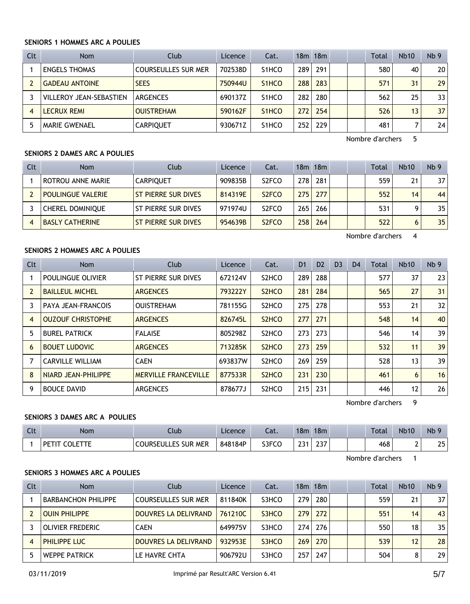## **SENIORS 1 HOMMES ARC A POULIES**

| Clt | <b>Nom</b>                     | Club                       | Licence | Cat.                            |     | $18m$ 18 $m$ |  | <b>Total</b> | <b>Nb10</b> | Nb <sub>9</sub> |
|-----|--------------------------------|----------------------------|---------|---------------------------------|-----|--------------|--|--------------|-------------|-----------------|
|     | <b>ENGELS THOMAS</b>           | <b>COURSEULLES SUR MER</b> | 702538D | S <sub>1</sub> HCO              | 289 | 291          |  | 580          | 40          | 20              |
|     | <b>GADEAU ANTOINE</b>          | <b>SEES</b>                | 750944U | S <sub>1</sub> HC <sub>O</sub>  | 288 | 283          |  | 571          | 31          | 29              |
|     | <b>VILLEROY JEAN-SEBASTIEN</b> | ARGENCES                   | 690137Z | S <sub>1</sub> HCO              | 282 | 280          |  | 562          | 25          | 33              |
| 4   | <b>LECRUX REMI</b>             | <b>OUISTREHAM</b>          | 590162F | S <sub>1</sub> H <sub>C</sub> O | 272 | 254          |  | 526          | 13          | 37              |
|     | <b>MARIE GWENAEL</b>           | <b>CARPIQUET</b>           | 930671Z | S <sub>1</sub> HCO              | 252 | 229          |  | 481          |             | 24              |

Nombre d'archers 5

## **SENIORS 2 DAMES ARC A POULIES**

| Clt | <b>Nom</b>               | Club                       | Licence | Cat.                           |                  | $18m$ 18 $m$ |  | <b>Total</b> | <b>Nb10</b> | Nb <sub>9</sub> |
|-----|--------------------------|----------------------------|---------|--------------------------------|------------------|--------------|--|--------------|-------------|-----------------|
|     | ROTROU ANNE MARIE        | <b>CARPIOUET</b>           | 909835B | S <sub>2</sub> FCO             | 278 <sub>1</sub> | 281          |  | 559          | 21          | 37 <sup>2</sup> |
|     | <b>POULINGUE VALERIE</b> | ST PIERRE SUR DIVES        | 814319E | S <sub>2</sub> F <sub>CO</sub> | 275 <sub>1</sub> | 277          |  | 552          | 14          | 44              |
|     | <b>CHEREL DOMINIQUE</b>  | ST PIERRE SUR DIVES        | 971974U | S <sub>2</sub> FCO             | 265              | 266          |  | 531          | Ω           | 35              |
| 4   | <b>BASLY CATHERINE</b>   | <b>ST PIERRE SUR DIVES</b> | 954639B | S <sub>2</sub> F <sub>CO</sub> | 258              | 264          |  | 522          | 6           | 35              |

Nombre d'archers 4

# **SENIORS 2 HOMMES ARC A POULIES**

| <b>Clt</b> | <b>Nom</b>                | Club                        | Licence | Cat.                           | D <sub>1</sub> | D <sub>2</sub> | D <sub>3</sub> | D <sub>4</sub> | Total | <b>Nb10</b>       | Nb <sub>9</sub> |
|------------|---------------------------|-----------------------------|---------|--------------------------------|----------------|----------------|----------------|----------------|-------|-------------------|-----------------|
|            | POULINGUE OLIVIER         | ST PIERRE SUR DIVES         | 672124V | S <sub>2</sub> HC <sub>O</sub> | 289            | 288            |                |                | 577   | 37                | 23              |
|            | <b>BAILLEUL MICHEL</b>    | <b>ARGENCES</b>             | 793222Y | S <sub>2</sub> HC <sub>O</sub> | 281            | 284            |                |                | 565   | 27                | 31              |
| 3          | <b>PAYA JEAN-FRANCOIS</b> | <b>OUISTREHAM</b>           | 781155G | S <sub>2</sub> HC <sub>O</sub> | 275            | 278            |                |                | 553   | 21                | 32              |
| 4          | <b>OUZOUF CHRISTOPHE</b>  | <b>ARGENCES</b>             | 826745L | S <sub>2</sub> HC <sub>O</sub> | 277            | 271            |                |                | 548   | 14                | 40              |
| 5          | <b>BUREL PATRICK</b>      | <b>FALAISE</b>              | 805298Z | S <sub>2</sub> HC <sub>O</sub> | 273            | 273            |                |                | 546   | 14                | 39              |
| 6          | <b>BOUET LUDOVIC</b>      | <b>ARGENCES</b>             | 713285K | S <sub>2</sub> HC <sub>O</sub> | 273            | 259            |                |                | 532   | 11                | 39              |
|            | <b>CARVILLE WILLIAM</b>   | <b>CAEN</b>                 | 693837W | S <sub>2</sub> HCO             | 269            | 259            |                |                | 528   | 13                | 39              |
| 8          | NIARD JEAN-PHILIPPE       | <b>MERVILLE FRANCEVILLE</b> | 877533R | S <sub>2</sub> HC <sub>O</sub> | 231            | 230            |                |                | 461   | 6                 | 16              |
| 9          | <b>BOUCE DAVID</b>        | <b>ARGENCES</b>             | 878677J | S <sub>2</sub> HC <sub>O</sub> | 215            | 231            |                |                | 446   | $12 \overline{ }$ | 26              |

Nombre d'archers 9

## **SENIORS 3 DAMES ARC A POULIES**

| $\Gamma$<br><b>UU</b> | Nom | Llub                      | Licence | Lat.  | 18m  | 18 <sub>m</sub>               |  | Total | <b>Nb10</b> | Nb         |
|-----------------------|-----|---------------------------|---------|-------|------|-------------------------------|--|-------|-------------|------------|
|                       | ∟ט  | RSEULLES SUR MER<br>cours | 848184P | S3FCO | י הי | $\sim$ $\sim$ $\sim$<br>، ت ک |  | 468   | -<br>-      | つに<br>∠J ∣ |

Nombre d'archers 1

## **SENIORS 3 HOMMES ARC A POULIES**

| Clt | <b>Nom</b>                 | Club                       | Licence | Cat.  |     | 18m 18m |  | Total | <b>Nb10</b> | Nb <sub>9</sub> |
|-----|----------------------------|----------------------------|---------|-------|-----|---------|--|-------|-------------|-----------------|
|     | <b>BARBANCHON PHILIPPE</b> | <b>COURSEULLES SUR MER</b> | 811840K | S3HCO | 279 | 280     |  | 559   | 21          | 37 I            |
|     | OUIN PHILIPPE              | DOUVRES LA DELIVRAND       | 761210C | S3HCO | 279 | 272     |  | 551   | 14          | 43              |
|     | OLIVIER FREDERIC           | <b>CAEN</b>                | 649975V | S3HCO | 274 | 276     |  | 550   | 18          | 35 <sub>1</sub> |
|     | <b>PHILIPPE LUC</b>        | DOUVRES LA DELIVRAND       | 932953E | S3HCO | 269 | 270     |  | 539   | 12          | 28 <sup>1</sup> |
|     | <b>WEPPE PATRICK</b>       | LE HAVRE CHTA              | 906792U | S3HCO | 257 | 247     |  | 504   | 8           | 29 <sup>1</sup> |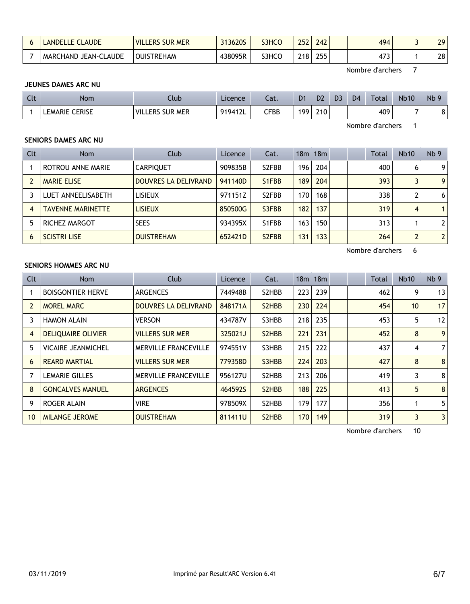| <b>LANDELLE CLAUDE</b>     | VILLERS SUR MER        | 313620S | S3HCO | 252              | 242        |  | 494        | 29 |
|----------------------------|------------------------|---------|-------|------------------|------------|--|------------|----|
| .AUDE<br>MARCHAND JEAN-CLA | <b>OUIST</b><br>TREHAM | 438095R | S3HCO | 218 <sub>1</sub> | つにに<br>ـــ |  | ィフつ<br>4/ر | 28 |

Nombre d'archers 7

## **JEUNES DAMES ARC NU**

| Clt | <b>Nom</b>               | Llub                                | Licence | $\sim$<br>cal. | D <sub>1</sub> | D <sub>2</sub> | D <sub>3</sub> | D <sub>4</sub> | Total | <b>Nb10</b> | Nb<br>$\Omega$ |
|-----|--------------------------|-------------------------------------|---------|----------------|----------------|----------------|----------------|----------------|-------|-------------|----------------|
|     | <b>CERISE</b><br>LEMARIE | VIL.<br>. Mer<br><b>SUR</b><br>.ers | 919412L | ${\sf CFBB}$   | 199            | 210            |                |                | 409   |             | O<br>٥         |

Nombre d'archers 1

## **SENIORS DAMES ARC NU**

| Clt            | <b>Nom</b>               | Club                 | Licence | Cat.                           |     | 18m 18m |  | Total | <b>Nb10</b>    | Nb <sub>9</sub> |
|----------------|--------------------------|----------------------|---------|--------------------------------|-----|---------|--|-------|----------------|-----------------|
|                | ROTROU ANNE MARIE        | <b>CARPIQUET</b>     | 909835B | S <sub>2</sub> FBB             | 196 | 204     |  | 400   | 6              | 9               |
|                | <b>MARIE ELISE</b>       | DOUVRES LA DELIVRAND | 941140D | S <sub>1</sub> F <sub>BB</sub> | 189 | 204     |  | 393   | 3              | 9               |
|                | LUET ANNEELISABETH       | <b>LISIEUX</b>       | 971151Z | S <sub>2</sub> FBB             | 170 | 168     |  | 338   |                | 6               |
| $\overline{4}$ | <b>TAVENNE MARINETTE</b> | <b>LISIEUX</b>       | 850500G | S3FBB                          | 182 | 137     |  | 319   | 4              |                 |
| 5              | RICHEZ MARGOT            | <b>SEES</b>          | 934395X | S1FBB                          | 163 | 150     |  | 313   |                | $\overline{2}$  |
| 6              | <b>SCISTRI LISE</b>      | <b>OUISTREHAM</b>    | 652421D | S <sub>2</sub> F <sub>BB</sub> | 131 | 133     |  | 264   | $\overline{2}$ | $\overline{2}$  |

Nombre d'archers 6

## **SENIORS HOMMES ARC NU**

| Clt            | <b>Nom</b>                | Club                        | Licence | Cat.                            |     | $18m$ 18 $m$ |  | <b>Total</b> | <b>Nb10</b>     | Nb <sub>9</sub> |
|----------------|---------------------------|-----------------------------|---------|---------------------------------|-----|--------------|--|--------------|-----------------|-----------------|
|                | <b>BOISGONTIER HERVE</b>  | <b>ARGENCES</b>             | 744948B | S2HBB                           | 223 | 239          |  | 462          | 9               | 13              |
|                | <b>MOREL MARC</b>         | DOUVRES LA DELIVRAND        | 848171A | S <sub>2</sub> H <sub>B</sub> B | 230 | 224          |  | 454          | 10 <sup>1</sup> | 17              |
| 3              | <b>HAMON ALAIN</b>        | <b>VERSON</b>               | 434787V | S3HBB                           | 218 | 235          |  | 453          | 5               | 12              |
| $\overline{4}$ | <b>DELIQUAIRE OLIVIER</b> | <b>VILLERS SUR MER</b>      | 325021J | S2HBB                           | 221 | 231          |  | 452          | 8               | 9               |
| 5              | <b>VICAIRE JEANMICHEL</b> | <b>MERVILLE FRANCEVILLE</b> | 974551V | S3HBB                           | 215 | 222          |  | 437          | 4               | $\overline{7}$  |
| 6              | <b>REARD MARTIAL</b>      | <b>VILLERS SUR MER</b>      | 779358D | S3HBB                           | 224 | 203          |  | 427          | 8               | 8               |
|                | <b>LEMARIE GILLES</b>     | <b>MERVILLE FRANCEVILLE</b> | 956127U | S2HBB                           | 213 | 206          |  | 419          | 3               | 8               |
| 8              | <b>GONCALVES MANUEL</b>   | <b>ARGENCES</b>             | 464592S | S <sub>2</sub> H <sub>B</sub> B | 188 | 225          |  | 413          | 5               | 8               |
| 9              | ROGER ALAIN               | <b>VIRE</b>                 | 978509X | S2HBB                           | 179 | 177          |  | 356          |                 | 5               |
| 10             | <b>MILANGE JEROME</b>     | <b>OUISTREHAM</b>           | 811411U | S <sub>2</sub> H <sub>B</sub> B | 170 | 149          |  | 319          | 3               | $\overline{3}$  |